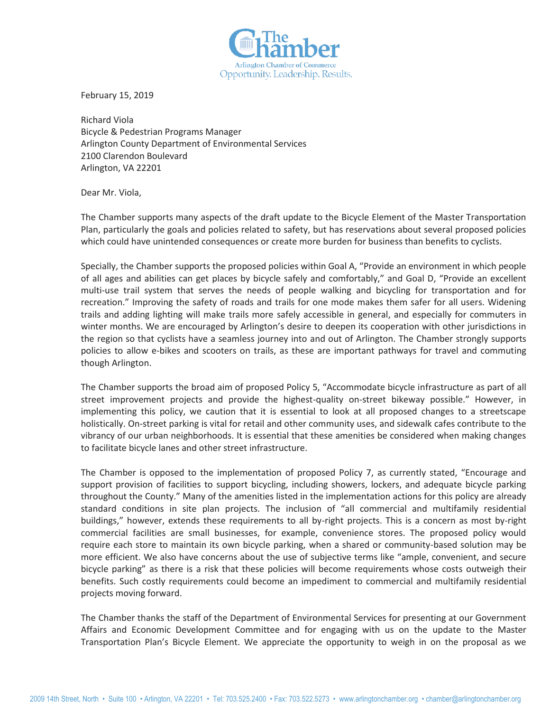

February 15, 2019

Richard Viola Bicycle & Pedestrian Programs Manager Arlington County Department of Environmental Services 2100 Clarendon Boulevard Arlington, VA 22201

Dear Mr. Viola,

The Chamber supports many aspects of the draft update to the Bicycle Element of the Master Transportation Plan, particularly the goals and policies related to safety, but has reservations about several proposed policies which could have unintended consequences or create more burden for business than benefits to cyclists.

Specially, the Chamber supports the proposed policies within Goal A, "Provide an environment in which people of all ages and abilities can get places by bicycle safely and comfortably," and Goal D, "Provide an excellent multi-use trail system that serves the needs of people walking and bicycling for transportation and for recreation." Improving the safety of roads and trails for one mode makes them safer for all users. Widening trails and adding lighting will make trails more safely accessible in general, and especially for commuters in winter months. We are encouraged by Arlington's desire to deepen its cooperation with other jurisdictions in the region so that cyclists have a seamless journey into and out of Arlington. The Chamber strongly supports policies to allow e-bikes and scooters on trails, as these are important pathways for travel and commuting though Arlington.

The Chamber supports the broad aim of proposed Policy 5, "Accommodate bicycle infrastructure as part of all street improvement projects and provide the highest-quality on-street bikeway possible." However, in implementing this policy, we caution that it is essential to look at all proposed changes to a streetscape holistically. On-street parking is vital for retail and other community uses, and sidewalk cafes contribute to the vibrancy of our urban neighborhoods. It is essential that these amenities be considered when making changes to facilitate bicycle lanes and other street infrastructure.

The Chamber is opposed to the implementation of proposed Policy 7, as currently stated, "Encourage and support provision of facilities to support bicycling, including showers, lockers, and adequate bicycle parking throughout the County." Many of the amenities listed in the implementation actions for this policy are already standard conditions in site plan projects. The inclusion of "all commercial and multifamily residential buildings," however, extends these requirements to all by-right projects. This is a concern as most by-right commercial facilities are small businesses, for example, convenience stores. The proposed policy would require each store to maintain its own bicycle parking, when a shared or community-based solution may be more efficient. We also have concerns about the use of subjective terms like "ample, convenient, and secure bicycle parking" as there is a risk that these policies will become requirements whose costs outweigh their benefits. Such costly requirements could become an impediment to commercial and multifamily residential projects moving forward.

The Chamber thanks the staff of the Department of Environmental Services for presenting at our Government Affairs and Economic Development Committee and for engaging with us on the update to the Master Transportation Plan's Bicycle Element. We appreciate the opportunity to weigh in on the proposal as we